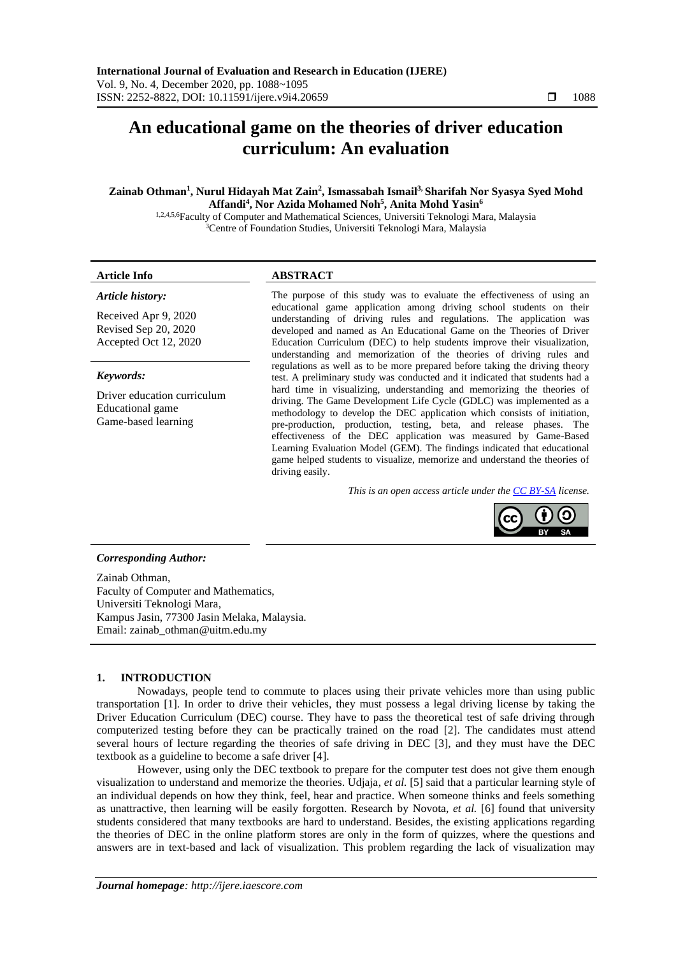# **An educational game on the theories of driver education curriculum: An evaluation**

# **Zainab Othman<sup>1</sup> , Nurul Hidayah Mat Zain<sup>2</sup> , Ismassabah Ismail3, Sharifah Nor Syasya Syed Mohd Affandi<sup>4</sup> , Nor Azida Mohamed Noh<sup>5</sup> , Anita Mohd Yasin<sup>6</sup>**

1,2,4,5,6Faculty of Computer and Mathematical Sciences, Universiti Teknologi Mara, Malaysia <sup>3</sup>Centre of Foundation Studies, Universiti Teknologi Mara, Malaysia

# *Article history:*

Received Apr 9, 2020 Revised Sep 20, 2020 Accepted Oct 12, 2020

# *Keywords:*

Driver education curriculum Educational game Game-based learning

# **Article Info ABSTRACT**

The purpose of this study was to evaluate the effectiveness of using an educational game application among driving school students on their understanding of driving rules and regulations. The application was developed and named as An Educational Game on the Theories of Driver Education Curriculum (DEC) to help students improve their visualization, understanding and memorization of the theories of driving rules and regulations as well as to be more prepared before taking the driving theory test. A preliminary study was conducted and it indicated that students had a hard time in visualizing, understanding and memorizing the theories of driving. The Game Development Life Cycle (GDLC) was implemented as a methodology to develop the DEC application which consists of initiation, pre-production, production, testing, beta, and release phases. The effectiveness of the DEC application was measured by Game-Based Learning Evaluation Model (GEM). The findings indicated that educational game helped students to visualize, memorize and understand the theories of driving easily.

*This is an open access article under the [CC BY-SA](https://creativecommons.org/licenses/by-sa/4.0/) license.*



# *Corresponding Author:*

Zainab Othman, Faculty of Computer and Mathematics, Universiti Teknologi Mara, Kampus Jasin, 77300 Jasin Melaka, Malaysia. Email: zainab\_othman@uitm.edu.my

# **1. INTRODUCTION**

Nowadays, people tend to commute to places using their private vehicles more than using public transportation [1]. In order to drive their vehicles, they must possess a legal driving license by taking the Driver Education Curriculum (DEC) course. They have to pass the theoretical test of safe driving through computerized testing before they can be practically trained on the road [2]. The candidates must attend several hours of lecture regarding the theories of safe driving in DEC [3], and they must have the DEC textbook as a guideline to become a safe driver [4].

However, using only the DEC textbook to prepare for the computer test does not give them enough visualization to understand and memorize the theories. Udjaja, *et al.* [5] said that a particular learning style of an individual depends on how they think, feel, hear and practice. When someone thinks and feels something as unattractive, then learning will be easily forgotten. Research by Novota, *et al.* [6] found that university students considered that many textbooks are hard to understand. Besides, the existing applications regarding the theories of DEC in the online platform stores are only in the form of quizzes, where the questions and answers are in text-based and lack of visualization. This problem regarding the lack of visualization may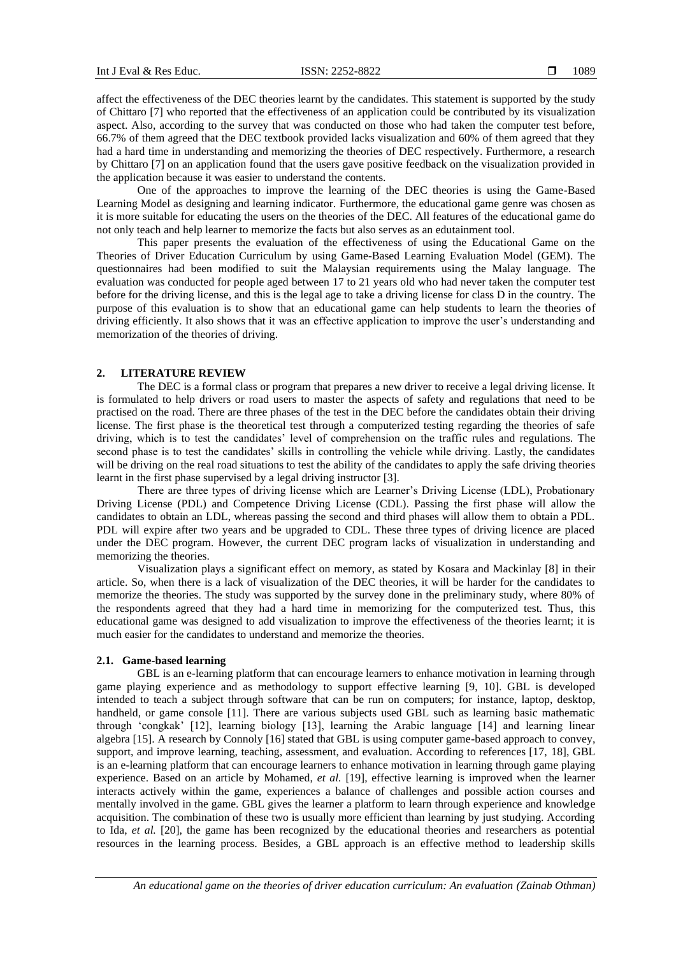affect the effectiveness of the DEC theories learnt by the candidates. This statement is supported by the study of Chittaro [7] who reported that the effectiveness of an application could be contributed by its visualization aspect. Also, according to the survey that was conducted on those who had taken the computer test before, 66.7% of them agreed that the DEC textbook provided lacks visualization and 60% of them agreed that they had a hard time in understanding and memorizing the theories of DEC respectively. Furthermore, a research by Chittaro [7] on an application found that the users gave positive feedback on the visualization provided in the application because it was easier to understand the contents.

One of the approaches to improve the learning of the DEC theories is using the Game-Based Learning Model as designing and learning indicator. Furthermore, the educational game genre was chosen as it is more suitable for educating the users on the theories of the DEC. All features of the educational game do not only teach and help learner to memorize the facts but also serves as an edutainment tool.

This paper presents the evaluation of the effectiveness of using the Educational Game on the Theories of Driver Education Curriculum by using Game-Based Learning Evaluation Model (GEM). The questionnaires had been modified to suit the Malaysian requirements using the Malay language. The evaluation was conducted for people aged between 17 to 21 years old who had never taken the computer test before for the driving license, and this is the legal age to take a driving license for class D in the country. The purpose of this evaluation is to show that an educational game can help students to learn the theories of driving efficiently. It also shows that it was an effective application to improve the user's understanding and memorization of the theories of driving.

# **2. LITERATURE REVIEW**

The DEC is a formal class or program that prepares a new driver to receive a legal driving license. It is formulated to help drivers or road users to master the aspects of safety and regulations that need to be practised on the road. There are three phases of the test in the DEC before the candidates obtain their driving license. The first phase is the theoretical test through a computerized testing regarding the theories of safe driving, which is to test the candidates' level of comprehension on the traffic rules and regulations. The second phase is to test the candidates' skills in controlling the vehicle while driving. Lastly, the candidates will be driving on the real road situations to test the ability of the candidates to apply the safe driving theories learnt in the first phase supervised by a legal driving instructor [3].

There are three types of driving license which are Learner's Driving License (LDL), Probationary Driving License (PDL) and Competence Driving License (CDL). Passing the first phase will allow the candidates to obtain an LDL, whereas passing the second and third phases will allow them to obtain a PDL. PDL will expire after two years and be upgraded to CDL. These three types of driving licence are placed under the DEC program. However, the current DEC program lacks of visualization in understanding and memorizing the theories.

Visualization plays a significant effect on memory, as stated by Kosara and Mackinlay [8] in their article. So, when there is a lack of visualization of the DEC theories, it will be harder for the candidates to memorize the theories. The study was supported by the survey done in the preliminary study, where 80% of the respondents agreed that they had a hard time in memorizing for the computerized test. Thus, this educational game was designed to add visualization to improve the effectiveness of the theories learnt; it is much easier for the candidates to understand and memorize the theories.

### **2.1. Game-based learning**

GBL is an e-learning platform that can encourage learners to enhance motivation in learning through game playing experience and as methodology to support effective learning [9, 10]. GBL is developed intended to teach a subject through software that can be run on computers; for instance, laptop, desktop, handheld, or game console [11]. There are various subjects used GBL such as learning basic mathematic through 'congkak' [12], learning biology [13], learning the Arabic language [14] and learning linear algebra [15]. A research by Connoly [16] stated that GBL is using computer game-based approach to convey, support, and improve learning, teaching, assessment, and evaluation. According to references [17, 18], GBL is an e-learning platform that can encourage learners to enhance motivation in learning through game playing experience. Based on an article by Mohamed, *et al.* [19], effective learning is improved when the learner interacts actively within the game, experiences a balance of challenges and possible action courses and mentally involved in the game. GBL gives the learner a platform to learn through experience and knowledge acquisition. The combination of these two is usually more efficient than learning by just studying. According to Ida, *et al.* [20], the game has been recognized by the educational theories and researchers as potential resources in the learning process. Besides, a GBL approach is an effective method to leadership skills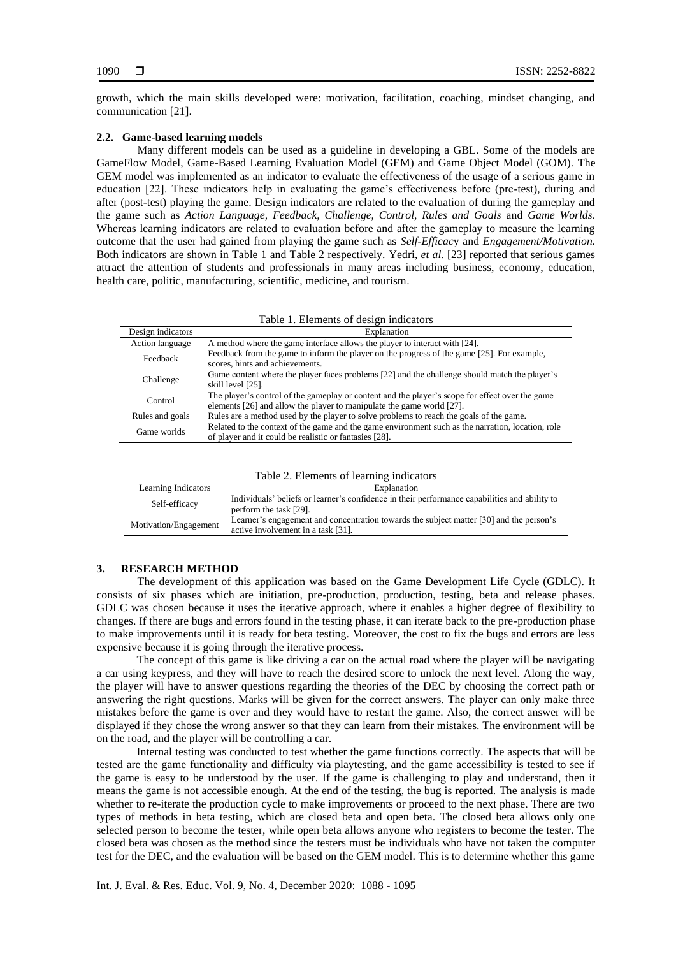growth, which the main skills developed were: motivation, facilitation, coaching, mindset changing, and communication [21].

# **2.2. Game-based learning models**

Many different models can be used as a guideline in developing a GBL. Some of the models are GameFlow Model, Game-Based Learning Evaluation Model (GEM) and Game Object Model (GOM). The GEM model was implemented as an indicator to evaluate the effectiveness of the usage of a serious game in education [22]. These indicators help in evaluating the game's effectiveness before (pre-test), during and after (post-test) playing the game. Design indicators are related to the evaluation of during the gameplay and the game such as *Action Language, Feedback, Challenge, Control, Rules and Goals* and *Game Worlds*. Whereas learning indicators are related to evaluation before and after the gameplay to measure the learning outcome that the user had gained from playing the game such as *Self-Efficac*y and *Engagement/Motivation.* Both indicators are shown in Table 1 and Table 2 respectively. Yedri, *et al.* [23] reported that serious games attract the attention of students and professionals in many areas including business, economy, education, health care, politic, manufacturing, scientific, medicine, and tourism.

| Design indicators | Explanation                                                                                                                                                              |
|-------------------|--------------------------------------------------------------------------------------------------------------------------------------------------------------------------|
| Action language   | A method where the game interface allows the player to interact with [24].                                                                                               |
| Feedback          | Feedback from the game to inform the player on the progress of the game [25]. For example,<br>scores, hints and achievements.                                            |
| Challenge         | Game content where the player faces problems [22] and the challenge should match the player's<br>skill level [25].                                                       |
| Control           | The player's control of the gameplay or content and the player's scope for effect over the game<br>elements [26] and allow the player to manipulate the game world [27]. |
| Rules and goals   | Rules are a method used by the player to solve problems to reach the goals of the game.                                                                                  |
| Game worlds       | Related to the context of the game and the game environment such as the narration, location, role<br>of player and it could be realistic or fantasies [28].              |

| Table 2. Elements of learning indicators |  |  |
|------------------------------------------|--|--|
|------------------------------------------|--|--|

| Learning Indicators   | Explanation                                                                                                                   |  |  |  |  |  |
|-----------------------|-------------------------------------------------------------------------------------------------------------------------------|--|--|--|--|--|
| Self-efficacy         | Individuals' beliefs or learner's confidence in their performance capabilities and ability to<br>perform the task [29].       |  |  |  |  |  |
| Motivation/Engagement | Learner's engagement and concentration towards the subject matter [30] and the person's<br>active involvement in a task [31]. |  |  |  |  |  |

# **3. RESEARCH METHOD**

The development of this application was based on the Game Development Life Cycle (GDLC). It consists of six phases which are initiation, pre-production, production, testing, beta and release phases. GDLC was chosen because it uses the iterative approach, where it enables a higher degree of flexibility to changes. If there are bugs and errors found in the testing phase, it can iterate back to the pre-production phase to make improvements until it is ready for beta testing. Moreover, the cost to fix the bugs and errors are less expensive because it is going through the iterative process.

The concept of this game is like driving a car on the actual road where the player will be navigating a car using keypress, and they will have to reach the desired score to unlock the next level. Along the way, the player will have to answer questions regarding the theories of the DEC by choosing the correct path or answering the right questions. Marks will be given for the correct answers. The player can only make three mistakes before the game is over and they would have to restart the game. Also, the correct answer will be displayed if they chose the wrong answer so that they can learn from their mistakes. The environment will be on the road, and the player will be controlling a car.

Internal testing was conducted to test whether the game functions correctly. The aspects that will be tested are the game functionality and difficulty via playtesting, and the game accessibility is tested to see if the game is easy to be understood by the user. If the game is challenging to play and understand, then it means the game is not accessible enough. At the end of the testing, the bug is reported. The analysis is made whether to re-iterate the production cycle to make improvements or proceed to the next phase. There are two types of methods in beta testing, which are closed beta and open beta. The closed beta allows only one selected person to become the tester, while open beta allows anyone who registers to become the tester. The closed beta was chosen as the method since the testers must be individuals who have not taken the computer test for the DEC, and the evaluation will be based on the GEM model. This is to determine whether this game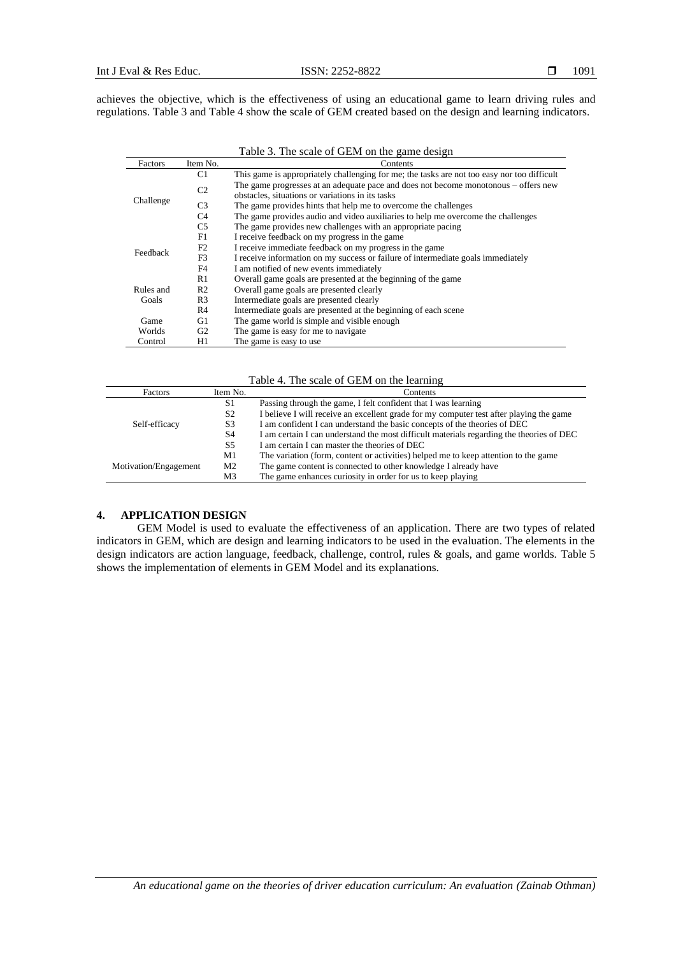achieves the objective, which is the effectiveness of using an educational game to learn driving rules and regulations. Table 3 and Table 4 show the scale of GEM created based on the design and learning indicators.

Table 3. The scale of GEM on the game design

| Factors   | Item No.       | Contents                                                                                    |
|-----------|----------------|---------------------------------------------------------------------------------------------|
|           | C1             | This game is appropriately challenging for me; the tasks are not too easy nor too difficult |
|           | C <sub>2</sub> | The game progresses at an adequate pace and does not become monotonous – offers new         |
| Challenge |                | obstacles, situations or variations in its tasks                                            |
|           | C <sub>3</sub> | The game provides hints that help me to overcome the challenges                             |
|           | C <sub>4</sub> | The game provides audio and video auxiliaries to help me overcome the challenges            |
|           | C <sub>5</sub> | The game provides new challenges with an appropriate pacing                                 |
| Feedback  | F1             | I receive feedback on my progress in the game                                               |
|           | F2             | I receive immediate feedback on my progress in the game                                     |
|           | F <sub>3</sub> | I receive information on my success or failure of intermediate goals immediately            |
|           | F <sub>4</sub> | I am notified of new events immediately                                                     |
|           | R1             | Overall game goals are presented at the beginning of the game                               |
| Rules and | R <sub>2</sub> | Overall game goals are presented clearly                                                    |
| Goals     | R <sub>3</sub> | Intermediate goals are presented clearly                                                    |
|           | R4             | Intermediate goals are presented at the beginning of each scene                             |
| Game      | G1             | The game world is simple and visible enough                                                 |
| Worlds    | G2             | The game is easy for me to navigate                                                         |
| Control   | H1             | The game is easy to use.                                                                    |

Table 4. The scale of GEM on the learning

| <b>Factors</b>        | Item No.       | Contents                                                                                 |  |  |  |  |  |
|-----------------------|----------------|------------------------------------------------------------------------------------------|--|--|--|--|--|
|                       | S1             | Passing through the game, I felt confident that I was learning                           |  |  |  |  |  |
| Self-efficacy         | S <sub>2</sub> | I believe I will receive an excellent grade for my computer test after playing the game  |  |  |  |  |  |
|                       | S <sub>3</sub> | I am confident I can understand the basic concepts of the theories of DEC                |  |  |  |  |  |
|                       | S <sub>4</sub> | I am certain I can understand the most difficult materials regarding the theories of DEC |  |  |  |  |  |
|                       | S5             | I am certain I can master the theories of DEC                                            |  |  |  |  |  |
|                       | M1             | The variation (form, content or activities) helped me to keep attention to the game      |  |  |  |  |  |
| Motivation/Engagement | M <sub>2</sub> | The game content is connected to other knowledge I already have                          |  |  |  |  |  |
|                       | M3             | The game enhances curiosity in order for us to keep playing                              |  |  |  |  |  |

# **4. APPLICATION DESIGN**

GEM Model is used to evaluate the effectiveness of an application. There are two types of related indicators in GEM, which are design and learning indicators to be used in the evaluation. The elements in the design indicators are action language, feedback, challenge, control, rules & goals, and game worlds. Table 5 shows the implementation of elements in GEM Model and its explanations.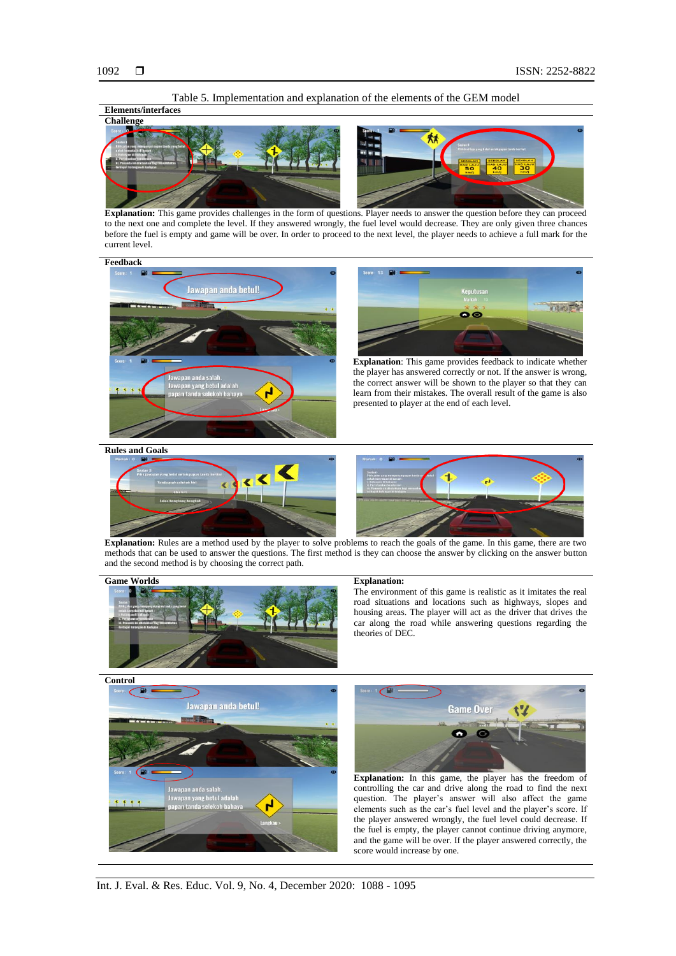



**Explanation:** This game provides challenges in the form of questions. Player needs to answer the question before they can proceed to the next one and complete the level. If they answered wrongly, the fuel level would decrease. They are only given three chances before the fuel is empty and game will be over. In order to proceed to the next level, the player needs to achieve a full mark for the current level.





**Explanation**: This game provides feedback to indicate whether the player has answered correctly or not. If the answer is wrong, the correct answer will be shown to the player so that they can learn from their mistakes. The overall result of the game is also presented to player at the end of each level.

**Rules and Goals**





**Explanation:** Rules are a method used by the player to solve problems to reach the goals of the game. In this game, there are two methods that can be used to answer the questions. The first method is they can choose the answer by clicking on the answer button and the second method is by choosing the correct path.



The environment of this game is realistic as it imitates the real road situations and locations such as highways, slopes and housing areas. The player will act as the driver that drives the car along the road while answering questions regarding the theories of DEC.





**Explanation:** In this game, the player has the freedom of controlling the car and drive along the road to find the next question. The player's answer will also affect the game elements such as the car's fuel level and the player's score. If the player answered wrongly, the fuel level could decrease. If the fuel is empty, the player cannot continue driving anymore, and the game will be over. If the player answered correctly, the score would increase by one.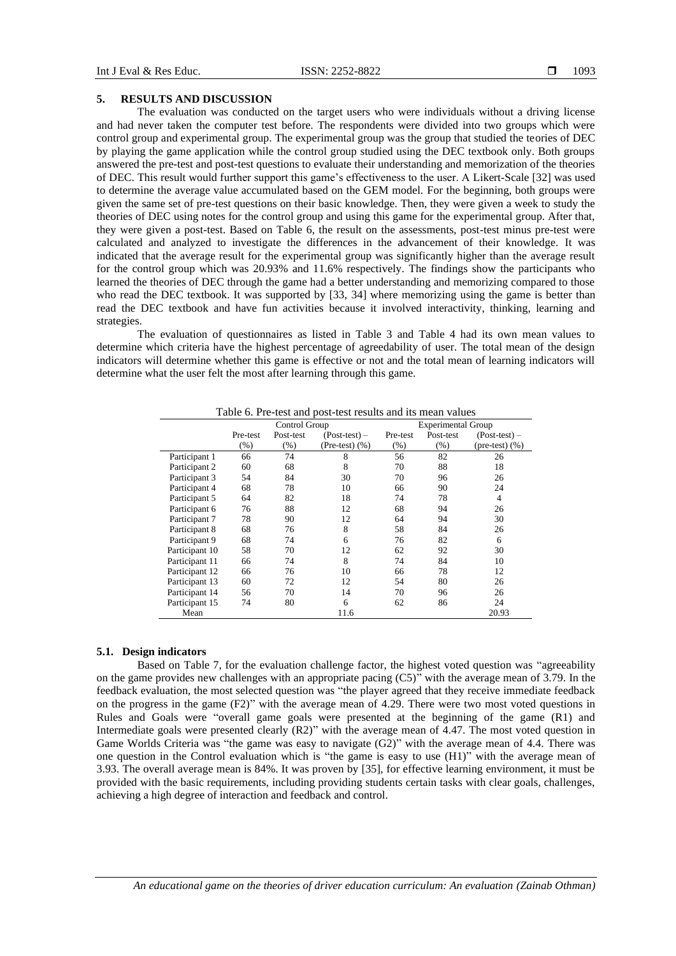#### **5. RESULTS AND DISCUSSION**

The evaluation was conducted on the target users who were individuals without a driving license and had never taken the computer test before. The respondents were divided into two groups which were control group and experimental group. The experimental group was the group that studied the teories of DEC by playing the game application while the control group studied using the DEC textbook only. Both groups answered the pre-test and post-test questions to evaluate their understanding and memorization of the theories of DEC. This result would further support this game's effectiveness to the user. A Likert-Scale [32] was used to determine the average value accumulated based on the GEM model. For the beginning, both groups were given the same set of pre-test questions on their basic knowledge. Then, they were given a week to study the theories of DEC using notes for the control group and using this game for the experimental group. After that, they were given a post-test. Based on Table 6, the result on the assessments, post-test minus pre-test were calculated and analyzed to investigate the differences in the advancement of their knowledge. It was indicated that the average result for the experimental group was significantly higher than the average result for the control group which was 20.93% and 11.6% respectively. The findings show the participants who learned the theories of DEC through the game had a better understanding and memorizing compared to those who read the DEC textbook. It was supported by [33, 34] where memorizing using the game is better than read the DEC textbook and have fun activities because it involved interactivity, thinking, learning and strategies.

The evaluation of questionnaires as listed in Table 3 and Table 4 had its own mean values to determine which criteria have the highest percentage of agreedability of user. The total mean of the design indicators will determine whether this game is effective or not and the total mean of learning indicators will determine what the user felt the most after learning through this game.

|                |          | Control Group |                    | <b>Experimental Group</b> |           |                            |  |
|----------------|----------|---------------|--------------------|---------------------------|-----------|----------------------------|--|
|                | Pre-test | Post-test     | $(Post-test)$ –    | Pre-test                  | Post-test | $(Post-test)$ –            |  |
|                | (%)      | $(\%)$        | (Pre-test) $(\% )$ | $(\%)$                    | (% )      | $(\text{pre-test})$ $(\%)$ |  |
| Participant 1  | 66       | 74            | 8                  | 56                        | 82        | 26                         |  |
| Participant 2  | 60       | 68            | 8                  | 70                        | 88        | 18                         |  |
| Participant 3  | 54       | 84            | 30                 | 70                        | 96        | 26                         |  |
| Participant 4  | 68       | 78            | 10                 | 66                        | 90        | 24                         |  |
| Participant 5  | 64       | 82            | 18                 | 74                        | 78        | 4                          |  |
| Participant 6  | 76       | 88            | 12                 | 68                        | 94        | 26                         |  |
| Participant 7  | 78       | 90            | 12                 | 64                        | 94        | 30                         |  |
| Participant 8  | 68       | 76            | 8                  | 58                        | 84        | 26                         |  |
| Participant 9  | 68       | 74            | 6                  | 76                        | 82        | 6                          |  |
| Participant 10 | 58       | 70            | 12                 | 62                        | 92        | 30                         |  |
| Participant 11 | 66       | 74            | 8                  | 74                        | 84        | 10                         |  |
| Participant 12 | 66       | 76            | 10                 | 66                        | 78        | 12                         |  |
| Participant 13 | 60       | 72            | 12                 | 54                        | 80        | 26                         |  |
| Participant 14 | 56       | 70            | 14                 | 70                        | 96        | 26                         |  |
| Participant 15 | 74       | 80            | 6                  | 62                        | 86        | 24                         |  |
| Mean           |          |               | 11.6               |                           |           | 20.93                      |  |

Table 6. Pre-test and post-test results and its mean values

#### **5.1. Design indicators**

Based on Table 7, for the evaluation challenge factor, the highest voted question was "agreeability on the game provides new challenges with an appropriate pacing (C5)" with the average mean of 3.79. In the feedback evaluation, the most selected question was "the player agreed that they receive immediate feedback on the progress in the game (F2)" with the average mean of 4.29. There were two most voted questions in Rules and Goals were "overall game goals were presented at the beginning of the game (R1) and Intermediate goals were presented clearly (R2)" with the average mean of 4.47. The most voted question in Game Worlds Criteria was "the game was easy to navigate (G2)" with the average mean of 4.4. There was one question in the Control evaluation which is "the game is easy to use (H1)" with the average mean of 3.93. The overall average mean is 84%. It was proven by [35], for effective learning environment, it must be provided with the basic requirements, including providing students certain tasks with clear goals, challenges, achieving a high degree of interaction and feedback and control.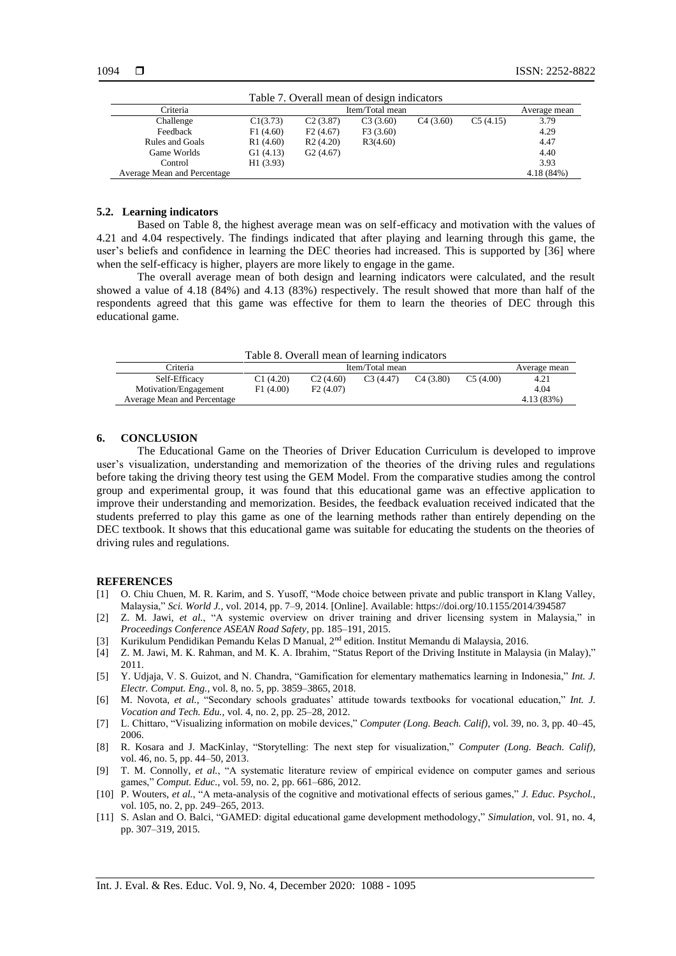| Table 7. Overall mean of design indicators |                 |          |          |          |            |              |
|--------------------------------------------|-----------------|----------|----------|----------|------------|--------------|
| Criteria                                   | Item/Total mean |          |          |          |            | Average mean |
| Challenge                                  | C1(3.73)        | C2(3.87) | C3(3.60) | C4(3.60) | C5(4.15)   | 3.79         |
| Feedback                                   | F1(4.60)        | F2(4.67) | F3(3.60) |          |            | 4.29         |
| Rules and Goals                            | R1(4.60)        | R2(4.20) | R3(4.60) |          |            | 4.47         |
| Game Worlds                                | G1(4.13)        | G2(4.67) |          |          |            | 4.40         |
| Control                                    | H1(3.93)        |          |          |          |            | 3.93         |
| Average Mean and Percentage                |                 |          |          |          | 4.18 (84%) |              |

### **5.2. Learning indicators**

Based on Table 8, the highest average mean was on self-efficacy and motivation with the values of 4.21 and 4.04 respectively. The findings indicated that after playing and learning through this game, the user's beliefs and confidence in learning the DEC theories had increased. This is supported by [36] where when the self-efficacy is higher, players are more likely to engage in the game.

The overall average mean of both design and learning indicators were calculated, and the result showed a value of 4.18 (84%) and 4.13 (83%) respectively. The result showed that more than half of the respondents agreed that this game was effective for them to learn the theories of DEC through this educational game.

Table 8. Overall mean of learning indicators

| Criteria                    |          |          | Item/Total mean |          | Average mean |            |
|-----------------------------|----------|----------|-----------------|----------|--------------|------------|
| Self-Efficacy               | C1(4.20) | C2(4.60) | C3(4.47)        | C4(3.80) | C5(4.00)     | 4.21       |
| Motivation/Engagement       | F1(4.00) | F2(4.07) |                 |          |              | 4.04       |
| Average Mean and Percentage |          |          |                 |          |              | 4.13 (83%) |

#### **6. CONCLUSION**

The Educational Game on the Theories of Driver Education Curriculum is developed to improve user's visualization, understanding and memorization of the theories of the driving rules and regulations before taking the driving theory test using the GEM Model. From the comparative studies among the control group and experimental group, it was found that this educational game was an effective application to improve their understanding and memorization. Besides, the feedback evaluation received indicated that the students preferred to play this game as one of the learning methods rather than entirely depending on the DEC textbook. It shows that this educational game was suitable for educating the students on the theories of driving rules and regulations.

#### **REFERENCES**

- [1] O. Chiu Chuen, M. R. Karim, and S. Yusoff, "Mode choice between private and public transport in Klang Valley, Malaysia," *Sci. World J.*, vol. 2014, pp. 7–9, 2014. [Online]. Available: https://doi.org/10.1155/2014/394587
- [2] Z. M. Jawi, *et al.*, "A systemic overview on driver training and driver licensing system in Malaysia," in *Proceedings Conference ASEAN Road Safety*, pp. 185–191, 2015.
- [3] Kurikulum Pendidikan Pemandu Kelas D Manual, 2nd edition. Institut Memandu di Malaysia, 2016.
- [4] Z. M. Jawi, M. K. Rahman, and M. K. A. Ibrahim, "Status Report of the Driving Institute in Malaysia (in Malay)," 2011.
- [5] Y. Udjaja, V. S. Guizot, and N. Chandra, "Gamification for elementary mathematics learning in Indonesia," *Int. J. Electr. Comput. Eng.*, vol. 8, no. 5, pp. 3859–3865, 2018.
- [6] M. Novota, *et al.*, "Secondary schools graduates' attitude towards textbooks for vocational education," *Int. J. Vocation and Tech. Edu.,* vol. 4, no. 2, pp. 25–28, 2012.
- [7] L. Chittaro, "Visualizing information on mobile devices," *Computer (Long. Beach. Calif),* vol. 39, no. 3, pp. 40–45, 2006.
- [8] R. Kosara and J. MacKinlay, "Storytelling: The next step for visualization," *Computer (Long. Beach. Calif),* vol. 46, no. 5, pp. 44–50, 2013.
- [9] T. M. Connolly, *et al.*, "A systematic literature review of empirical evidence on computer games and serious games," *Comput. Educ.*, vol. 59, no. 2, pp. 661–686, 2012.
- [10] P. Wouters, *et al.*, "A meta-analysis of the cognitive and motivational effects of serious games," *J. Educ. Psychol.*, vol. 105, no. 2, pp. 249–265, 2013.
- [11] S. Aslan and O. Balci, "GAMED: digital educational game development methodology," *Simulation*, vol. 91, no. 4, pp. 307–319, 2015.